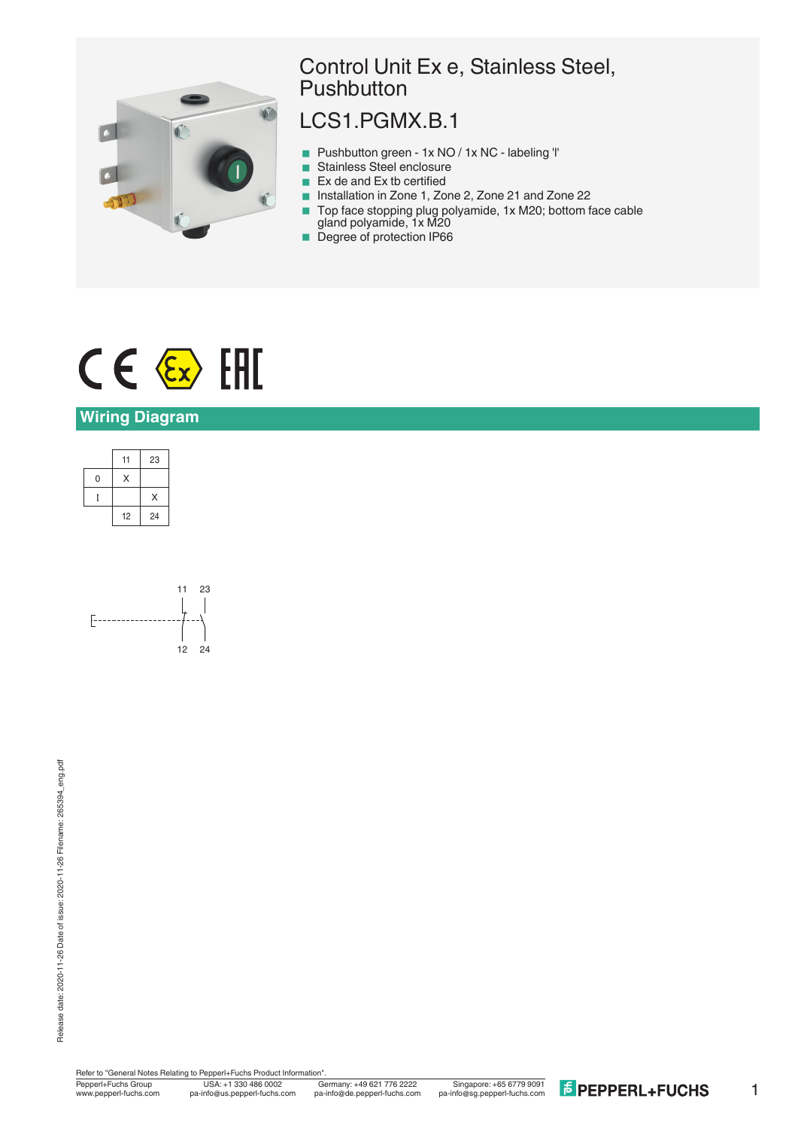

## Control Unit Ex e, Stainless Steel, **Pushbutton**

# LCS1.PGMX.B.1

- Pushbutton green 1x NO / 1x NC labeling 'l'
- Stainless Steel enclosure
- $\blacksquare$  Ex de and Ex tb certified
- Installation in Zone 1, Zone 2, Zone 21 and Zone 22
- Top face stopping plug polyamide, 1x M20; bottom face cable gland polyamide, 1x M20
- **Degree of protection IP66**

# $CE \& HH$

### **Wiring Diagram**





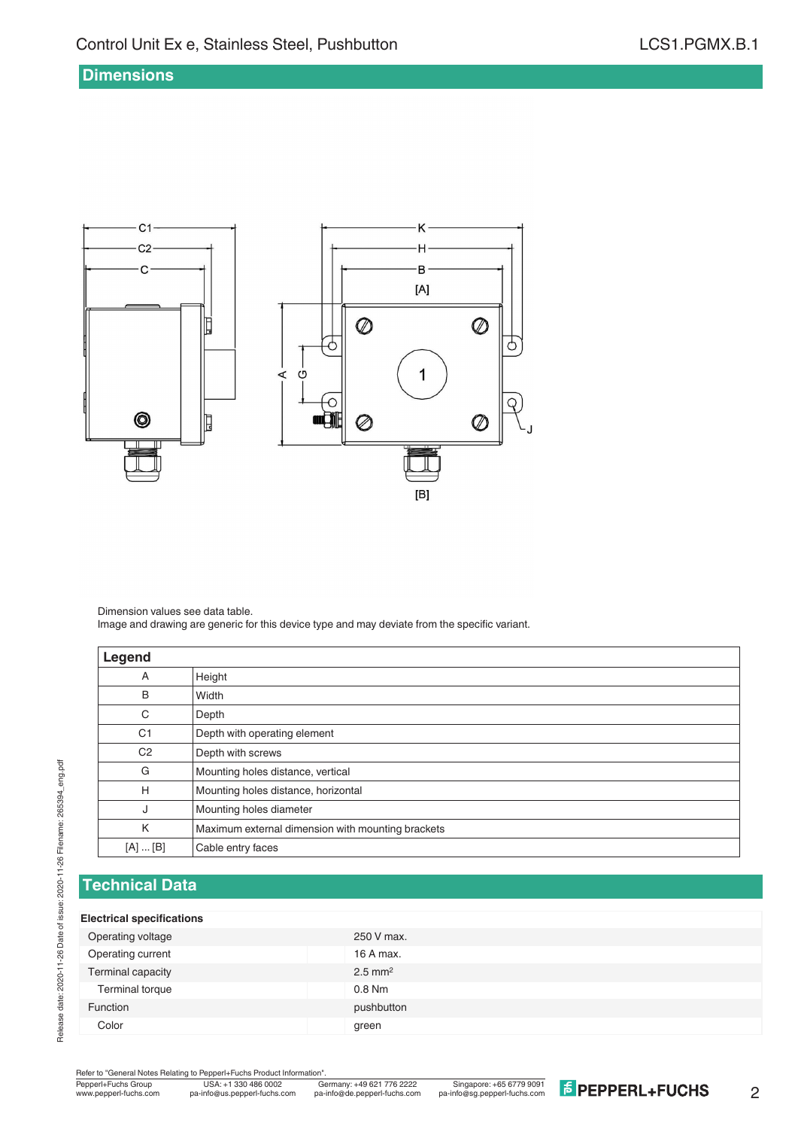#### **Dimensions**



Dimension values see data table. Image and drawing are generic for this device type and may deviate from the specific variant.

| Legend         |                                                   |
|----------------|---------------------------------------------------|
| Α              | Height                                            |
| B              | Width                                             |
| C              | Depth                                             |
| C <sub>1</sub> | Depth with operating element                      |
| C <sub>2</sub> | Depth with screws                                 |
| G              | Mounting holes distance, vertical                 |
| H              | Mounting holes distance, horizontal               |
| J              | Mounting holes diameter                           |
| K              | Maximum external dimension with mounting brackets |
| [A]  [B]       | Cable entry faces                                 |

## **Technical Data**

#### **Electrical specifications**

| Operating voltage<br>250 V max.<br>Operating current<br>16 A max.<br>Terminal capacity<br>$2.5$ mm <sup>2</sup><br>Terminal torque<br>$0.8$ Nm<br>pushbutton<br><b>Function</b> |       |       |
|---------------------------------------------------------------------------------------------------------------------------------------------------------------------------------|-------|-------|
|                                                                                                                                                                                 |       |       |
|                                                                                                                                                                                 |       |       |
|                                                                                                                                                                                 |       |       |
|                                                                                                                                                                                 |       |       |
|                                                                                                                                                                                 |       |       |
|                                                                                                                                                                                 | Color | green |

Refer to "General Notes Relating to Pepperl+Fuchs Product Information".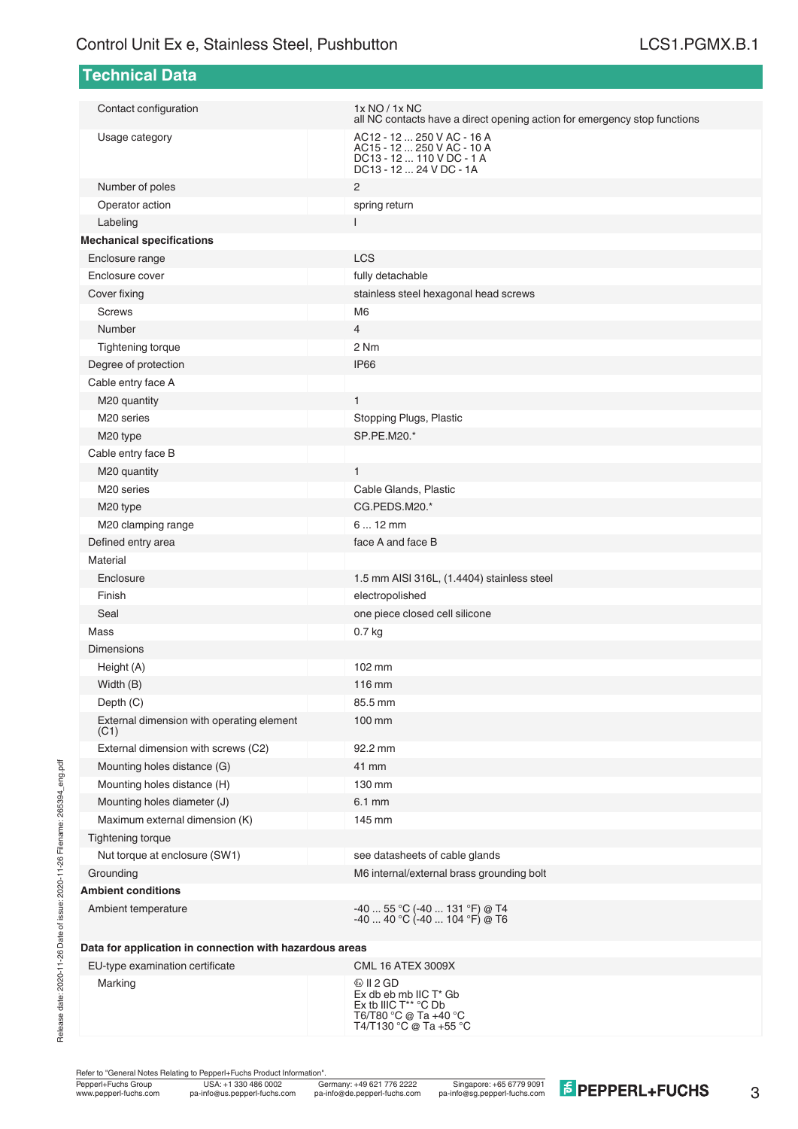| <b>Technical Data</b>                                   |                                                                                                                  |  |  |  |
|---------------------------------------------------------|------------------------------------------------------------------------------------------------------------------|--|--|--|
| Contact configuration                                   | 1x NO / 1x NC                                                                                                    |  |  |  |
|                                                         | all NC contacts have a direct opening action for emergency stop functions                                        |  |  |  |
| Usage category                                          | AC12 - 12  250 V AC - 16 A<br>AC15 - 12  250 V AC - 10 A<br>DC13 - 12  110 V DC - 1 A<br>DC13 - 12  24 V DC - 1A |  |  |  |
| Number of poles                                         | 2                                                                                                                |  |  |  |
| Operator action                                         | spring return                                                                                                    |  |  |  |
| Labeling                                                | L                                                                                                                |  |  |  |
| <b>Mechanical specifications</b>                        |                                                                                                                  |  |  |  |
| Enclosure range                                         | LCS                                                                                                              |  |  |  |
| Enclosure cover                                         | fully detachable                                                                                                 |  |  |  |
| Cover fixing                                            | stainless steel hexagonal head screws                                                                            |  |  |  |
| <b>Screws</b>                                           | M <sub>6</sub>                                                                                                   |  |  |  |
| Number                                                  | $\overline{4}$                                                                                                   |  |  |  |
| Tightening torque                                       | 2 Nm                                                                                                             |  |  |  |
| Degree of protection                                    | IP <sub>66</sub>                                                                                                 |  |  |  |
| Cable entry face A                                      |                                                                                                                  |  |  |  |
| M20 quantity                                            | $\mathbf{1}$                                                                                                     |  |  |  |
| M <sub>20</sub> series                                  | Stopping Plugs, Plastic                                                                                          |  |  |  |
| M20 type                                                | SP.PE.M20.*                                                                                                      |  |  |  |
| Cable entry face B                                      |                                                                                                                  |  |  |  |
| M20 quantity                                            | $\mathbf{1}$                                                                                                     |  |  |  |
| M <sub>20</sub> series                                  | Cable Glands, Plastic                                                                                            |  |  |  |
| M20 type                                                | CG.PEDS.M20.*                                                                                                    |  |  |  |
| M20 clamping range                                      | $612$ mm                                                                                                         |  |  |  |
| Defined entry area                                      | face A and face B                                                                                                |  |  |  |
| Material                                                |                                                                                                                  |  |  |  |
| Enclosure                                               | 1.5 mm AISI 316L, (1.4404) stainless steel                                                                       |  |  |  |
| Finish                                                  | electropolished                                                                                                  |  |  |  |
| Seal                                                    | one piece closed cell silicone                                                                                   |  |  |  |
| Mass                                                    | 0.7 <sub>kg</sub>                                                                                                |  |  |  |
| <b>Dimensions</b>                                       |                                                                                                                  |  |  |  |
| Height (A)                                              | 102 mm                                                                                                           |  |  |  |
| Width (B)                                               | 116 mm                                                                                                           |  |  |  |
| Depth (C)                                               | 85.5 mm                                                                                                          |  |  |  |
| External dimension with operating element<br>(C1)       | 100 mm                                                                                                           |  |  |  |
| External dimension with screws (C2)                     | 92.2 mm                                                                                                          |  |  |  |
| Mounting holes distance (G)                             | 41 mm                                                                                                            |  |  |  |
| Mounting holes distance (H)                             | 130 mm                                                                                                           |  |  |  |
| Mounting holes diameter (J)                             | 6.1 mm                                                                                                           |  |  |  |
| Maximum external dimension (K)                          | 145 mm                                                                                                           |  |  |  |
| <b>Tightening torque</b>                                |                                                                                                                  |  |  |  |
| Nut torque at enclosure (SW1)                           | see datasheets of cable glands                                                                                   |  |  |  |
| Grounding                                               | M6 internal/external brass grounding bolt                                                                        |  |  |  |
| <b>Ambient conditions</b>                               |                                                                                                                  |  |  |  |
| Ambient temperature                                     | -40  55 °C (-40  131 °F) @ T4<br>$-4040 °C (-40104 °F) @ T6$                                                     |  |  |  |
| Data for application in connection with hazardous areas |                                                                                                                  |  |  |  |
| EU-type examination certificate                         | <b>CML 16 ATEX 3009X</b>                                                                                         |  |  |  |
| Marking                                                 | $\textcircled{k}$ II 2 GD<br>Ex db eb mb IIC T* Gb                                                               |  |  |  |

Refer to "General Notes Relating to Pepperl+Fuchs Product Information".

Ex tb IIIC T\*\* °C Db T6/T80 °C @ Ta +40 °C T4/T130 °C @ Ta +55 °C

USA: +1 330 486 0002 Singapore: +65 6779 9091 www.pepperl-fuchs.com pa-info@us.pepperl-fuchs.com pa-info@de.pepperl-fuchs.com pa-info@sg.pepperl-fuchs.com

3